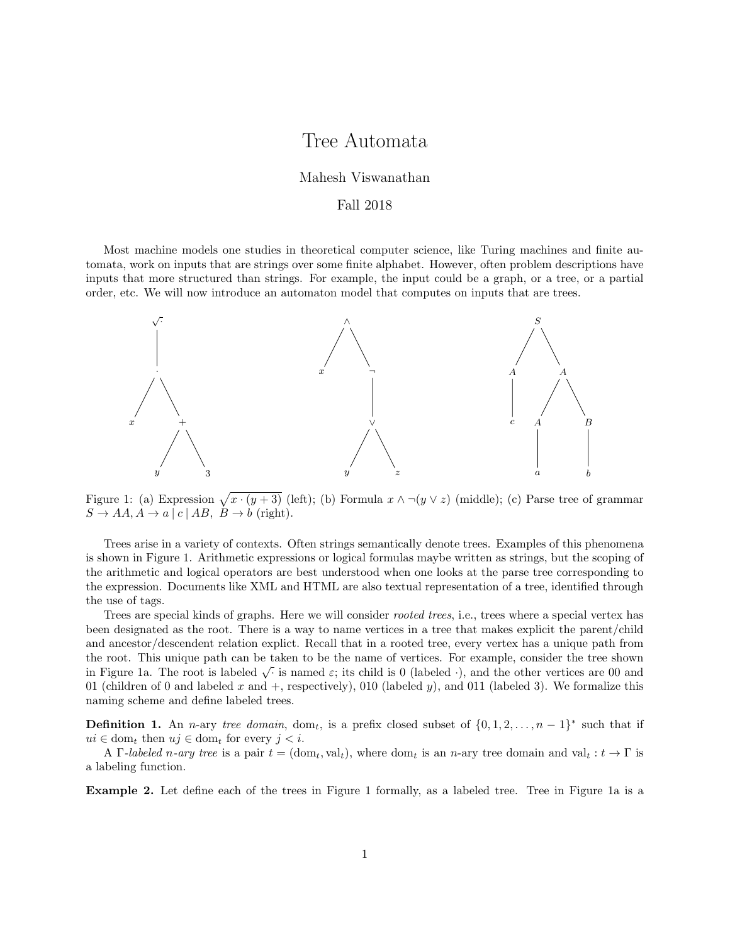# Tree Automata

#### Mahesh Viswanathan

#### Fall 2018

Most machine models one studies in theoretical computer science, like Turing machines and finite automata, work on inputs that are strings over some finite alphabet. However, often problem descriptions have inputs that more structured than strings. For example, the input could be a graph, or a tree, or a partial order, etc. We will now introduce an automaton model that computes on inputs that are trees.



Figure 1: (a) Expression  $\sqrt{x \cdot (y+3)}$  (left); (b) Formula  $x \wedge \neg(y \vee z)$  (middle); (c) Parse tree of grammar  $S \to AA, A \to a | c | AB, B \to b$  (right).

Trees arise in a variety of contexts. Often strings semantically denote trees. Examples of this phenomena is shown in Figure 1. Arithmetic expressions or logical formulas maybe written as strings, but the scoping of the arithmetic and logical operators are best understood when one looks at the parse tree corresponding to the expression. Documents like XML and HTML are also textual representation of a tree, identified through the use of tags.

Trees are special kinds of graphs. Here we will consider rooted trees, i.e., trees where a special vertex has been designated as the root. There is a way to name vertices in a tree that makes explicit the parent/child and ancestor/descendent relation explict. Recall that in a rooted tree, every vertex has a unique path from the root. This unique path can be taken to be the name of vertices. For example, consider the tree shown in Figure 1a. The root is labeled  $\sqrt{\cdot}$  is named  $\varepsilon$ ; its child is 0 (labeled  $\cdot$ ), and the other vertices are 00 and in Figure 1a. The root is labeled  $\sqrt{\cdot}$  is named  $\varepsilon$ ; its child is 0 (labeled  $\cdot$ ), and the o 01 (children of 0 and labeled x and  $+$ , respectively), 010 (labeled y), and 011 (labeled 3). We formalize this naming scheme and define labeled trees.

**Definition 1.** An n-ary tree domain, dom<sub>t</sub>, is a prefix closed subset of  $\{0, 1, 2, ..., n-1\}^*$  such that if  $ui \in \text{dom}_t$  then  $uj \in \text{dom}_t$  for every  $j < i$ .

A  $\Gamma$ -labeled n-ary tree is a pair  $t = (\text{dom}_t, \text{val}_t)$ , where  $\text{dom}_t$  is an n-ary tree domain and  $\text{val}_t : t \to \Gamma$  is a labeling function.

Example 2. Let define each of the trees in Figure 1 formally, as a labeled tree. Tree in Figure 1a is a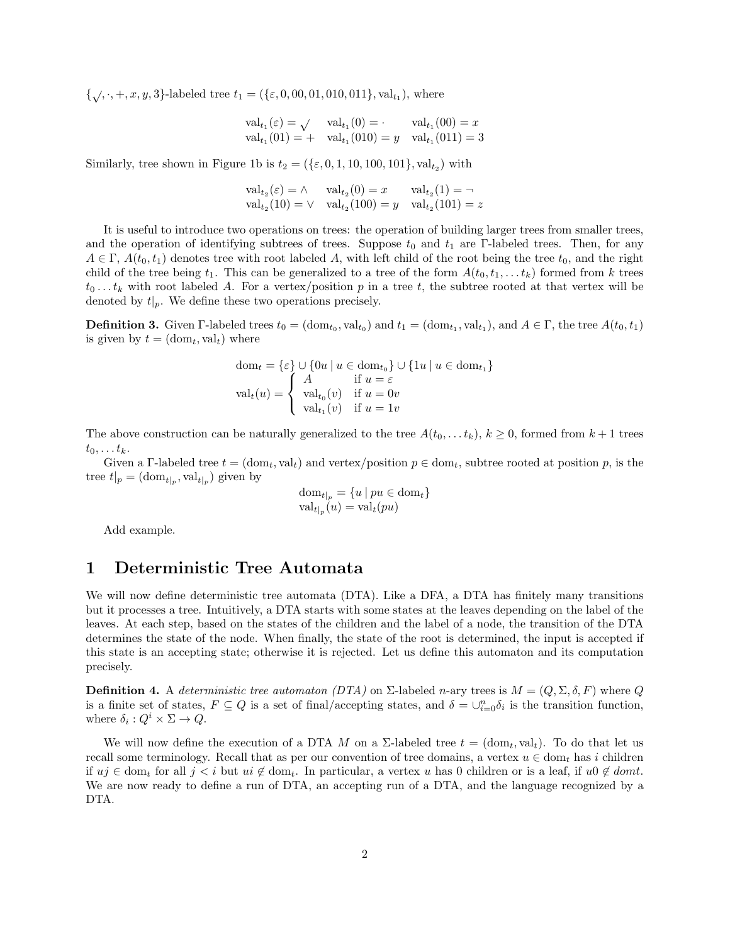$\{\sqrt{,\cdot, +}, x, y, 3\}$ -labeled tree  $t_1 = (\{\varepsilon, 0, 00, 01, 010, 011\}, \text{val}_{t_1}),$  where

$$
\text{val}_{t_1}(\varepsilon) = \bigvee \quad \text{val}_{t_1}(0) = \cdot \quad \text{val}_{t_1}(00) = x
$$
  

$$
\text{val}_{t_1}(01) = + \quad \text{val}_{t_1}(010) = y \quad \text{val}_{t_1}(011) = 3
$$

Similarly, tree shown in Figure 1b is  $t_2 = (\{\varepsilon, 0, 1, 10, 100, 101\}, \text{val}_{t_2})$  with

$$
\text{val}_{t_2}(\varepsilon) = \wedge \quad \text{val}_{t_2}(0) = x \quad \text{val}_{t_2}(1) = \neg \n\text{val}_{t_2}(10) = \vee \quad \text{val}_{t_2}(100) = y \quad \text{val}_{t_2}(101) = z
$$

It is useful to introduce two operations on trees: the operation of building larger trees from smaller trees, and the operation of identifying subtrees of trees. Suppose  $t_0$  and  $t_1$  are Γ-labeled trees. Then, for any  $A \in \Gamma$ ,  $A(t_0, t_1)$  denotes tree with root labeled A, with left child of the root being the tree  $t_0$ , and the right child of the tree being  $t_1$ . This can be generalized to a tree of the form  $A(t_0, t_1, \ldots, t_k)$  formed from k trees  $t_0 \ldots t_k$  with root labeled A. For a vertex/position p in a tree t, the subtree rooted at that vertex will be denoted by  $t|_p$ . We define these two operations precisely.

**Definition 3.** Given  $\Gamma$ -labeled trees  $t_0 = (\text{dom}_{t_0}, \text{val}_{t_0})$  and  $t_1 = (\text{dom}_{t_1}, \text{val}_{t_1})$ , and  $A \in \Gamma$ , the tree  $A(t_0, t_1)$ is given by  $t = (\text{dom}_t, \text{val}_t)$  where

$$
\text{dom}_t = \{\varepsilon\} \cup \{0u \mid u \in \text{dom}_{t_0}\} \cup \{1u \mid u \in \text{dom}_{t_1}\}
$$

$$
\text{val}_t(u) = \begin{cases} A & \text{if } u = \varepsilon \\ \text{val}_{t_0}(v) & \text{if } u = 0v \\ \text{val}_{t_1}(v) & \text{if } u = 1v \end{cases}
$$

The above construction can be naturally generalized to the tree  $A(t_0, \ldots t_k)$ ,  $k \geq 0$ , formed from  $k+1$  trees  $t_0, \ldots t_k$ .

Given a Γ-labeled tree  $t = (\text{dom}_t, \text{val}_t)$  and vertex/position  $p \in \text{dom}_t$ , subtree rooted at position p, is the tree  $t|_p = (\text{dom}_{t|_p}, \text{val}_{t|_p})$  given by

$$
\text{dom}_{t|_p} = \{u \mid pu \in \text{dom}_t\}
$$

$$
\text{val}_{t|_p}(u) = \text{val}_t(pu)
$$

Add example.

## 1 Deterministic Tree Automata

We will now define deterministic tree automata (DTA). Like a DFA, a DTA has finitely many transitions but it processes a tree. Intuitively, a DTA starts with some states at the leaves depending on the label of the leaves. At each step, based on the states of the children and the label of a node, the transition of the DTA determines the state of the node. When finally, the state of the root is determined, the input is accepted if this state is an accepting state; otherwise it is rejected. Let us define this automaton and its computation precisely.

**Definition 4.** A deterministic tree automaton (DTA) on  $\Sigma$ -labeled n-ary trees is  $M = (Q, \Sigma, \delta, F)$  where Q is a finite set of states,  $F \subseteq Q$  is a set of final/accepting states, and  $\delta = \bigcup_{i=0}^n \delta_i$  is the transition function, where  $\delta_i: Q^i \times \Sigma \to Q$ .

We will now define the execution of a DTA M on a  $\Sigma$ -labeled tree  $t = (\text{dom}_t, \text{val}_t)$ . To do that let us recall some terminology. Recall that as per our convention of tree domains, a vertex  $u \in \text{dom}_t$  has i children if  $uj \in \text{dom}_t$  for all  $j < i$  but  $ui \notin \text{dom}_t$ . In particular, a vertex u has 0 children or is a leaf, if  $u0 \notin \text{dom}t$ . We are now ready to define a run of DTA, an accepting run of a DTA, and the language recognized by a DTA.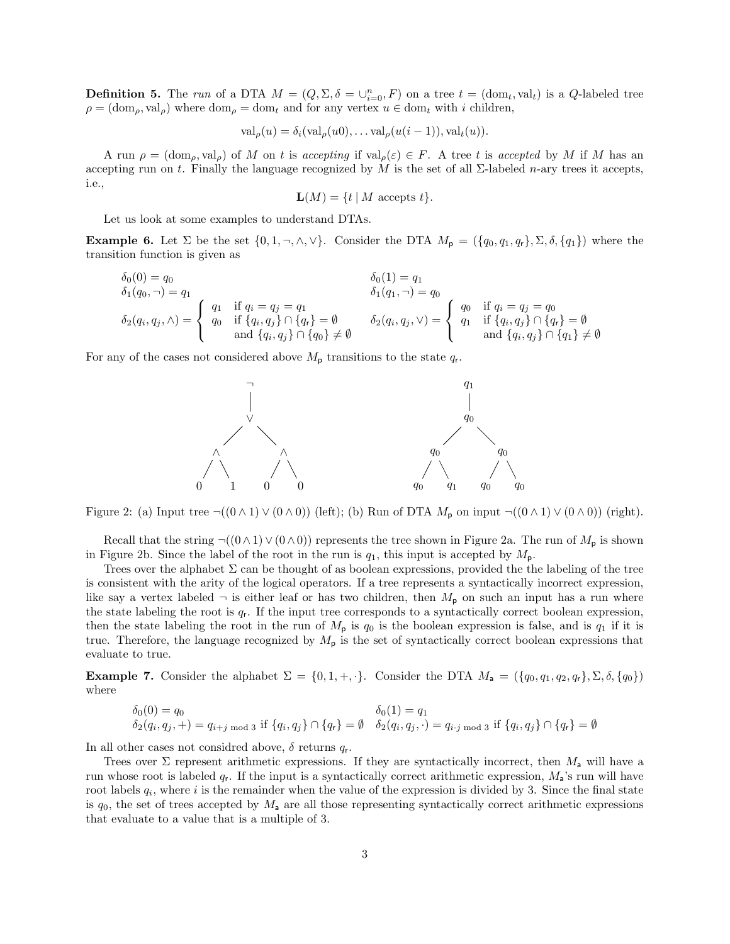**Definition 5.** The run of a DTA  $M = (Q, \Sigma, \delta = \bigcup_{i=0}^{n} F)$  on a tree  $t = (\text{dom}_t, \text{val}_t)$  is a  $Q$ -labeled tree  $\rho = (\text{dom}_{\rho}, \text{val}_{\rho})$  where  $\text{dom}_{\rho} = \text{dom}_{t}$  and for any vertex  $u \in \text{dom}_{t}$  with i children,

$$
\operatorname{val}_{\rho}(u) = \delta_i(\operatorname{val}_{\rho}(u0), \dots \operatorname{val}_{\rho}(u(i-1)), \operatorname{val}_t(u)).
$$

A run  $\rho = (\text{dom}_{\rho}, \text{val}_{\rho})$  of M on t is accepting if  $\text{val}_{\rho}(\varepsilon) \in F$ . A tree t is accepted by M if M has an accepting run on t. Finally the language recognized by M is the set of all  $\Sigma$ -labeled n-ary trees it accepts, i.e.,

$$
\mathbf{L}(M) = \{ t \mid M \text{ accepts } t \}.
$$

Let us look at some examples to understand DTAs.

**Example 6.** Let  $\Sigma$  be the set  $\{0, 1, \neg, \wedge, \vee\}$ . Consider the DTA  $M_{p} = (\{q_0, q_1, q_r\}, \Sigma, \delta, \{q_1\})$  where the transition function is given as

$$
\delta_0(0) = q_0
$$
\n
$$
\delta_1(q_0, \neg) = q_1
$$
\n
$$
\delta_2(q_i, q_j, \land) = \begin{cases}\nq_1 & \text{if } q_i = q_j = q_1 \\
q_0 & \text{if } \{q_i, q_j\} \cap \{q_r\} = \emptyset \\
\text{and } \{q_i, q_j\} \cap \{q_0\} \neq \emptyset\n\end{cases}\n\qquad\n\delta_2(q_i, q_j, \lor) = \begin{cases}\nq_0 & \text{if } q_i = q_j = q_0 \\
q_1 & \text{if } \{q_i, q_j\} \cap \{q_r\} = \emptyset \\
\text{and } \{q_i, q_j\} \cap \{q_1\} \neq \emptyset\n\end{cases}
$$

For any of the cases not considered above  $M_{\rm p}$  transitions to the state  $q_{\rm r}$ .



Figure 2: (a) Input tree  $\neg((0 \land 1) \lor (0 \land 0))$  (left); (b) Run of DTA  $M_p$  on input  $\neg((0 \land 1) \lor (0 \land 0))$  (right).

Recall that the string  $\neg((0 \land 1) \lor (0 \land 0))$  represents the tree shown in Figure 2a. The run of  $M_{\rm p}$  is shown in Figure 2b. Since the label of the root in the run is  $q_1$ , this input is accepted by  $M_p$ .

Trees over the alphabet  $\Sigma$  can be thought of as boolean expressions, provided the the labeling of the tree is consistent with the arity of the logical operators. If a tree represents a syntactically incorrect expression, like say a vertex labeled  $\neg$  is either leaf or has two children, then  $M_{\rm p}$  on such an input has a run where the state labeling the root is  $q_r$ . If the input tree corresponds to a syntactically correct boolean expression, then the state labeling the root in the run of  $M_p$  is  $q_0$  is the boolean expression is false, and is  $q_1$  if it is true. Therefore, the language recognized by  $M_{\rm p}$  is the set of syntactically correct boolean expressions that evaluate to true.

**Example 7.** Consider the alphabet  $\Sigma = \{0, 1, +, \cdot\}$ . Consider the DTA  $M_a = (\{q_0, q_1, q_2, q_r\}, \Sigma, \delta, \{q_0\})$ where

$$
\delta_0(0) = q_0
$$
  
\n
$$
\delta_2(q_i, q_j, +) = q_{i+j \mod 3}
$$
 if  $\{q_i, q_j\} \cap \{q_r\} = \emptyset$   $\delta_2(q_i, q_j, \cdot) = q_{i \cdot j \mod 3}$  if  $\{q_i, q_j\} \cap \{q_r\} = \emptyset$ 

In all other cases not considred above,  $\delta$  returns  $q_r$ .

Trees over  $\Sigma$  represent arithmetic expressions. If they are syntactically incorrect, then  $M_a$  will have a run whose root is labeled  $q_r$ . If the input is a syntactically correct arithmetic expression,  $M_a$ 's run will have root labels  $q_i$ , where i is the remainder when the value of the expression is divided by 3. Since the final state is  $q_0$ , the set of trees accepted by  $M_a$  are all those representing syntactically correct arithmetic expressions that evaluate to a value that is a multiple of 3.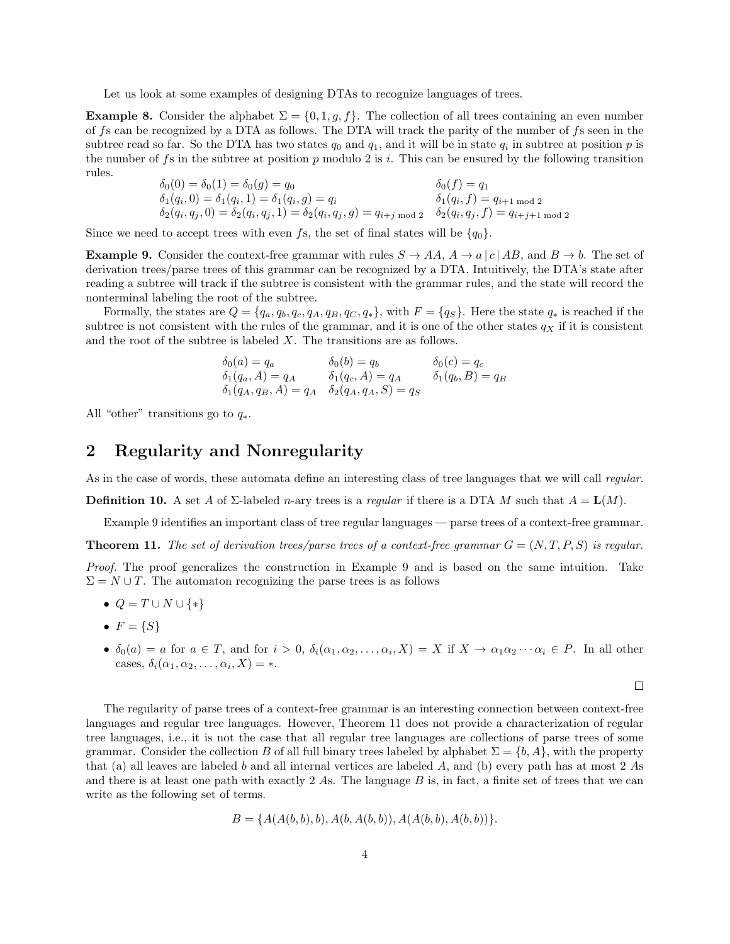Let us look at some examples of designing DTAs to recognize languages of trees.

**Example 8.** Consider the alphabet  $\Sigma = \{0, 1, g, f\}$ . The collection of all trees containing an even number of fs can be recognized by a DTA as follows. The DTA will track the parity of the number of fs seen in the subtree read so far. So the DTA has two states  $q_0$  and  $q_1$ , and it will be in state  $q_i$  in subtree at position p is the number of fs in the subtree at position p modulo 2 is i. This can be ensured by the following transition rules.

$$
\begin{aligned}\n\delta_0(0) &= \delta_0(1) = \delta_0(g) = q_0 & \delta_0(f) = q_1 \\
\delta_1(q_i, 0) &= \delta_1(q_i, 1) = \delta_1(q_i, g) = q_i & \delta_1(q_i, f) = q_{i+1 \text{ mod } 2} \\
\delta_2(q_i, q_j, 0) &= \delta_2(q_i, q_j, 1) = \delta_2(q_i, q_j, g) = q_{i+j \text{ mod } 2} & \delta_2(q_i, q_j, f) = q_{i+j+1 \text{ mod } 2}\n\end{aligned}
$$

Since we need to accept trees with even fs, the set of final states will be  $\{q_0\}$ .

**Example 9.** Consider the context-free grammar with rules  $S \to AA$ ,  $A \to a |c|AB$ , and  $B \to b$ . The set of derivation trees/parse trees of this grammar can be recognized by a DTA. Intuitively, the DTA's state after reading a subtree will track if the subtree is consistent with the grammar rules, and the state will record the nonterminal labeling the root of the subtree.

Formally, the states are  $Q = \{q_a, q_b, q_c, q_A, q_B, q_C, q_*\}$ , with  $F = \{q_S\}$ . Here the state  $q_*$  is reached if the subtree is not consistent with the rules of the grammar, and it is one of the other states  $q<sub>X</sub>$  if it is consistent and the root of the subtree is labeled X. The transitions are as follows.

$$
\begin{aligned}\n\delta_0(a) &= q_a & \delta_0(b) &= q_b & \delta_0(c) &= q_c \\
\delta_1(q_a, A) &= q_A & \delta_1(q_c, A) &= q_A & \delta_1(q_b, B) &= q_B \\
\delta_1(q_A, q_B, A) &= q_A & \delta_2(q_A, q_A, S) &= q_S\n\end{aligned}
$$

All "other" transitions go to  $q_*$ .

# 2 Regularity and Nonregularity

As in the case of words, these automata define an interesting class of tree languages that we will call *regular*.

**Definition 10.** A set A of  $\Sigma$ -labeled n-ary trees is a regular if there is a DTA M such that  $A = L(M)$ .

Example 9 identifies an important class of tree regular languages — parse trees of a context-free grammar.

**Theorem 11.** The set of derivation trees/parse trees of a context-free grammar  $G = (N, T, P, S)$  is regular.

Proof. The proof generalizes the construction in Example 9 and is based on the same intuition. Take  $\Sigma = N \cup T$ . The automaton recognizing the parse trees is as follows

- $Q = T \cup N \cup \{*\}$
- $F = \{S\}$
- $\delta_0(a) = a$  for  $a \in T$ , and for  $i > 0$ ,  $\delta_i(\alpha_1, \alpha_2, \ldots, \alpha_i, X) = X$  if  $X \to \alpha_1 \alpha_2 \cdots \alpha_i \in P$ . In all other cases,  $\delta_i(\alpha_1, \alpha_2, \ldots, \alpha_i, X) = *$ .

 $\Box$ 

The regularity of parse trees of a context-free grammar is an interesting connection between context-free languages and regular tree languages. However, Theorem 11 does not provide a characterization of regular tree languages, i.e., it is not the case that all regular tree languages are collections of parse trees of some grammar. Consider the collection B of all full binary trees labeled by alphabet  $\Sigma = \{b, A\}$ , with the property that (a) all leaves are labeled b and all internal vertices are labeled A, and (b) every path has at most  $2$  As and there is at least one path with exactly 2 As. The language B is, in fact, a finite set of trees that we can write as the following set of terms.

$$
B = \{A(A(b,b), b), A(b, A(b,b)), A(A(b,b), A(b,b))\}.
$$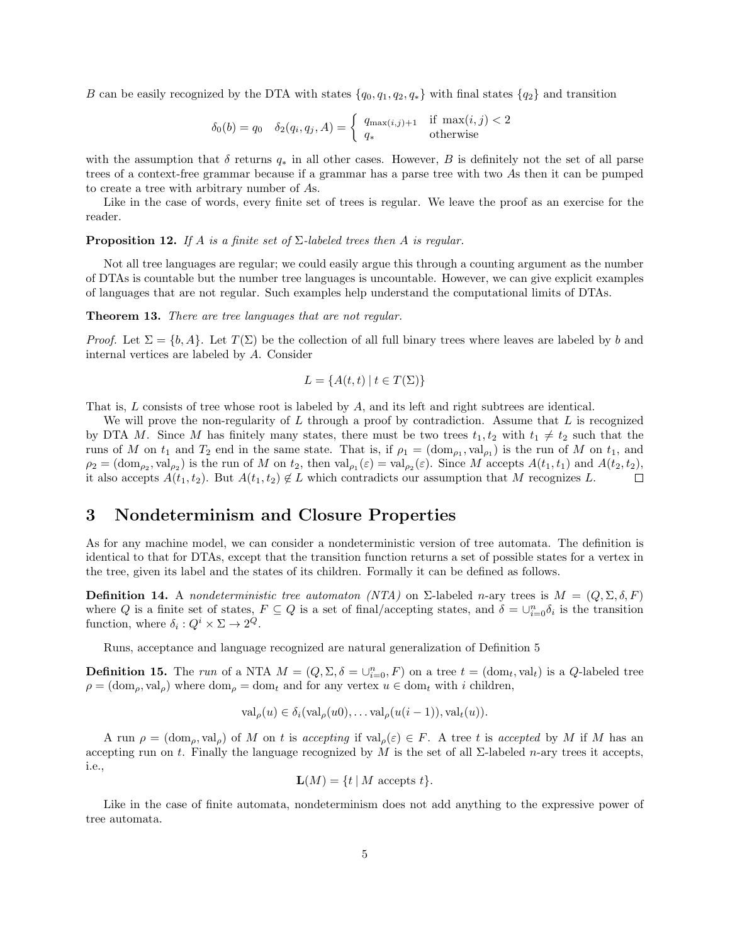B can be easily recognized by the DTA with states  $\{q_0, q_1, q_2, q_*\}$  with final states  $\{q_2\}$  and transition

$$
\delta_0(b) = q_0 \quad \delta_2(q_i, q_j, A) = \begin{cases} q_{\max(i,j)+1} & \text{if } \max(i,j) < 2\\ q_* & \text{otherwise} \end{cases}
$$

with the assumption that  $\delta$  returns  $q_*$  in all other cases. However, B is definitely not the set of all parse trees of a context-free grammar because if a grammar has a parse tree with two As then it can be pumped to create a tree with arbitrary number of As.

Like in the case of words, every finite set of trees is regular. We leave the proof as an exercise for the reader.

**Proposition 12.** If A is a finite set of  $\Sigma$ -labeled trees then A is regular.

Not all tree languages are regular; we could easily argue this through a counting argument as the number of DTAs is countable but the number tree languages is uncountable. However, we can give explicit examples of languages that are not regular. Such examples help understand the computational limits of DTAs.

Theorem 13. There are tree languages that are not regular.

Proof. Let  $\Sigma = \{b, A\}$ . Let  $T(\Sigma)$  be the collection of all full binary trees where leaves are labeled by b and internal vertices are labeled by A. Consider

$$
L = \{ A(t, t) \mid t \in T(\Sigma) \}
$$

That is, L consists of tree whose root is labeled by A, and its left and right subtrees are identical.

We will prove the non-regularity of L through a proof by contradiction. Assume that L is recognized by DTA M. Since M has finitely many states, there must be two trees  $t_1, t_2$  with  $t_1 \neq t_2$  such that the runs of M on  $t_1$  and  $T_2$  end in the same state. That is, if  $\rho_1 = (\text{dom}_{\rho_1}, \text{val}_{\rho_1})$  is the run of M on  $t_1$ , and  $\rho_2 = (\text{dom}_{\rho_2}, \text{val}_{\rho_2})$  is the run of M on  $t_2$ , then  $\text{val}_{\rho_1}(\varepsilon) = \text{val}_{\rho_2}(\varepsilon)$ . Since M accepts  $A(t_1, t_1)$  and  $A(t_2, t_2)$ , it also accepts  $A(t_1, t_2)$ . But  $A(t_1, t_2) \notin L$  which contradicts our assumption that M recognizes L.  $\Box$ 

### 3 Nondeterminism and Closure Properties

As for any machine model, we can consider a nondeterministic version of tree automata. The definition is identical to that for DTAs, except that the transition function returns a set of possible states for a vertex in the tree, given its label and the states of its children. Formally it can be defined as follows.

**Definition 14.** A nondeterministic tree automaton (NTA) on  $\Sigma$ -labeled n-ary trees is  $M = (Q, \Sigma, \delta, F)$ where Q is a finite set of states,  $F \subseteq Q$  is a set of final/accepting states, and  $\delta = \bigcup_{i=0}^n \delta_i$  is the transition function, where  $\delta_i: Q^i \times \Sigma \to 2^Q$ .

Runs, acceptance and language recognized are natural generalization of Definition 5

**Definition 15.** The run of a NTA  $M = (Q, \Sigma, \delta = \bigcup_{i=0}^{n} F)$  on a tree  $t = (\text{dom}_t, \text{val}_t)$  is a  $Q$ -labeled tree  $\rho = (\text{dom}_{\rho}, \text{val}_{\rho})$  where  $\text{dom}_{\rho} = \text{dom}_{t}$  and for any vertex  $u \in \text{dom}_{t}$  with i children,

$$
\operatorname{val}_{\rho}(u) \in \delta_i(\operatorname{val}_{\rho}(u0), \dots \operatorname{val}_{\rho}(u(i-1)), \operatorname{val}_t(u)).
$$

A run  $\rho = (\text{dom}_{\rho}, \text{val}_{\rho})$  of M on t is accepting if  $\text{val}_{\rho}(\varepsilon) \in F$ . A tree t is accepted by M if M has an accepting run on t. Finally the language recognized by M is the set of all  $\Sigma$ -labeled n-ary trees it accepts, i.e.,

$$
\mathbf{L}(M) = \{ t \mid M \text{ accepts } t \}.
$$

Like in the case of finite automata, nondeterminism does not add anything to the expressive power of tree automata.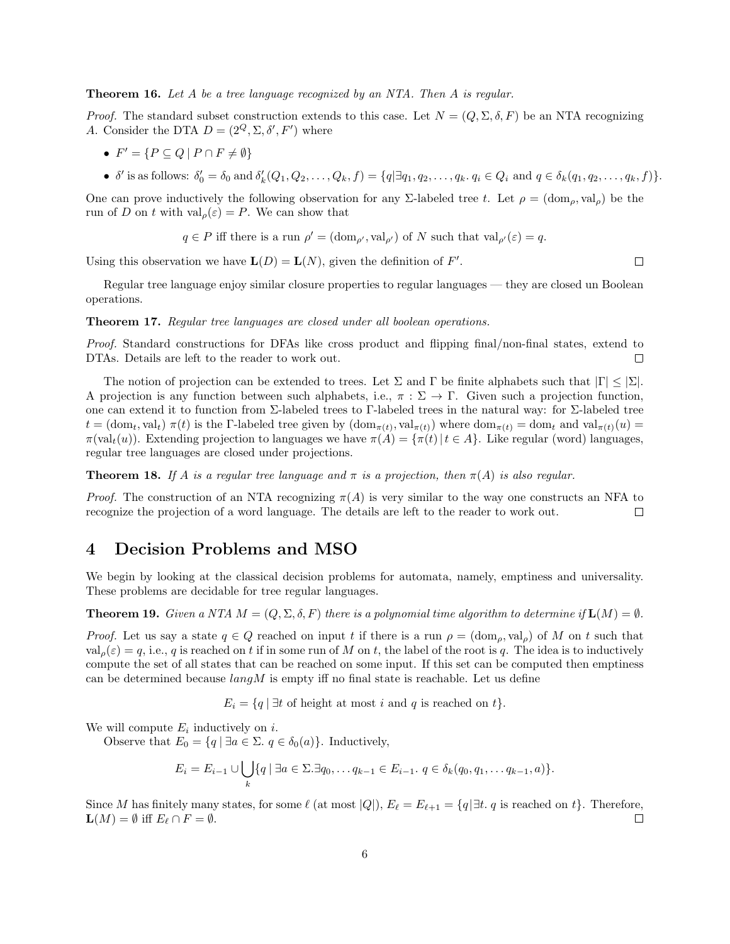**Theorem 16.** Let A be a tree language recognized by an NTA. Then A is regular.

*Proof.* The standard subset construction extends to this case. Let  $N = (Q, \Sigma, \delta, F)$  be an NTA recognizing A. Consider the DTA  $D = (2^Q, \Sigma, \delta', F')$  where

- $F' = \{ P \subseteq Q \mid P \cap F \neq \emptyset \}$
- $\delta'$  is as follows:  $\delta'_0 = \delta_0$  and  $\delta'_k(Q_1, Q_2, \ldots, Q_k, f) = \{q | \exists q_1, q_2, \ldots, q_k, q_i \in Q_i \text{ and } q \in \delta_k(q_1, q_2, \ldots, q_k, f) \}.$

One can prove inductively the following observation for any Σ-labeled tree t. Let  $\rho = (\text{dom}_o, \text{val}_o)$  be the run of D on t with  $\operatorname{val}_{\rho}(\varepsilon) = P$ . We can show that

$$
q \in P
$$
 iff there is a run  $\rho' = (\text{dom}_{\rho'}, \text{val}_{\rho'})$  of N such that  $\text{val}_{\rho'}(\varepsilon) = q$ .

Using this observation we have  $\mathbf{L}(D) = \mathbf{L}(N)$ , given the definition of F'.

Regular tree language enjoy similar closure properties to regular languages — they are closed un Boolean operations.

Theorem 17. Regular tree languages are closed under all boolean operations.

Proof. Standard constructions for DFAs like cross product and flipping final/non-final states, extend to DTAs. Details are left to the reader to work out.  $\Box$ 

The notion of projection can be extended to trees. Let  $\Sigma$  and  $\Gamma$  be finite alphabets such that  $|\Gamma| \leq |\Sigma|$ . A projection is any function between such alphabets, i.e.,  $\pi : \Sigma \to \Gamma$ . Given such a projection function, one can extend it to function from Σ-labeled trees to Γ-labeled trees in the natural way: for Σ-labeled tree  $t = (\text{dom}_t, \text{val}_t) \; \pi(t)$  is the Γ-labeled tree given by  $(\text{dom}_{\pi(t)}, \text{val}_{\pi(t)})$  where  $\text{dom}_{\pi(t)} = \text{dom}_t$  and  $\text{val}_{\pi(t)}(u) =$  $\pi(\text{val}_t(u))$ . Extending projection to languages we have  $\pi(A) = {\pi(t) | t \in A}$ . Like regular (word) languages, regular tree languages are closed under projections.

**Theorem 18.** If A is a regular tree language and  $\pi$  is a projection, then  $\pi(A)$  is also regular.

*Proof.* The construction of an NTA recognizing  $\pi(A)$  is very similar to the way one constructs an NFA to recognize the projection of a word language. The details are left to the reader to work out.  $\Box$ 

## 4 Decision Problems and MSO

We begin by looking at the classical decision problems for automata, namely, emptiness and universality. These problems are decidable for tree regular languages.

**Theorem 19.** Given a NTA  $M = (Q, \Sigma, \delta, F)$  there is a polynomial time algorithm to determine if  $\mathbf{L}(M) = \emptyset$ .

*Proof.* Let us say a state  $q \in Q$  reached on input t if there is a run  $\rho = (\text{dom}_{\rho}, \text{val}_{\rho})$  of M on t such that  $val_{\rho}(\varepsilon) = q$ , i.e., q is reached on t if in some run of M on t, the label of the root is q. The idea is to inductively compute the set of all states that can be reached on some input. If this set can be computed then emptiness can be determined because  $langM$  is empty iff no final state is reachable. Let us define

 $E_i = \{q \mid \exists t \text{ of height at most } i \text{ and } q \text{ is reached on } t\}.$ 

We will compute  $E_i$  inductively on i.

Observe that  $E_0 = \{q \mid \exists a \in \Sigma \ldotp q \in \delta_0(a)\}.$  Inductively,

$$
E_i = E_{i-1} \cup \bigcup_k \{q \mid \exists a \in \Sigma. \exists q_0, \dots q_{k-1} \in E_{i-1}. \ q \in \delta_k(q_0, q_1, \dots q_{k-1}, a)\}.
$$

Since M has finitely many states, for some  $\ell$  (at most  $|Q|$ ),  $E_{\ell} = E_{\ell+1} = \{q | \exists t. q \text{ is reached on } t\}.$  Therefore,  $\mathbf{L}(M) = \emptyset$  iff  $E_{\ell} \cap F = \emptyset$ .  $\Box$ 

 $\Box$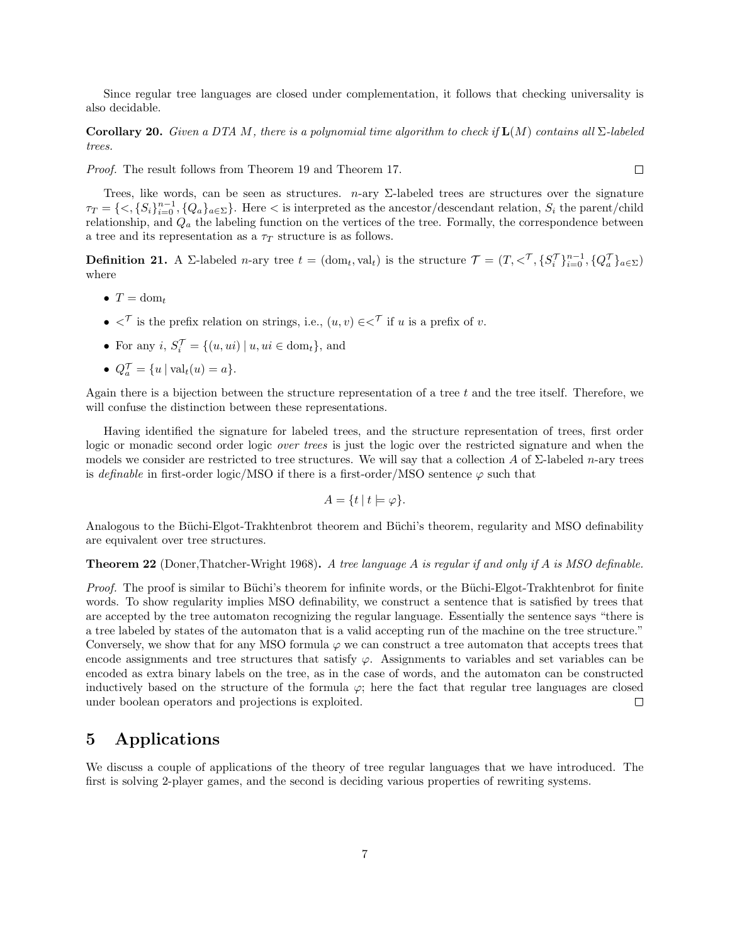Since regular tree languages are closed under complementation, it follows that checking universality is also decidable.

Corollary 20. Given a DTA M, there is a polynomial time algorithm to check if  $\mathbf{L}(M)$  contains all  $\Sigma$ -labeled trees.

Proof. The result follows from Theorem 19 and Theorem 17.

Trees, like words, can be seen as structures.  $n$ -ary  $\Sigma$ -labeled trees are structures over the signature  $\tau_T = \{ \langle S_i \rangle_{i=0}^{n-1}, \{Q_a\}_{a \in \Sigma} \}.$  Here  $\langle S_i \rangle_{i=0}^{n}$  is interpreted as the ancestor/descendant relation,  $S_i$  the parent/child relationship, and  $Q_a$  the labeling function on the vertices of the tree. Formally, the correspondence between a tree and its representation as a  $\tau_T$  structure is as follows.

**Definition 21.** A  $\Sigma$ -labeled *n*-ary tree  $t = (\text{dom}_t, \text{val}_t)$  is the structure  $\mathcal{T} = (T, \langle \mathcal{T}, \{S_i^{\mathcal{T}}\}_{i=0}^{n-1}, \{Q_a^{\mathcal{T}}\}_{a \in \Sigma})$ where

- $T = \text{dom}_t$
- $\langle \nabla \rangle$  is the prefix relation on strings, i.e.,  $(u, v) \in \langle \nabla \rangle$  if u is a prefix of v.
- For any  $i, S_i^{\mathcal{T}} = \{(u, ui) | u, ui \in \text{dom}_t\},\$ and
- $Q_a^{\mathcal{T}} = \{u \mid \text{val}_t(u) = a\}.$

Again there is a bijection between the structure representation of a tree  $t$  and the tree itself. Therefore, we will confuse the distinction between these representations.

Having identified the signature for labeled trees, and the structure representation of trees, first order logic or monadic second order logic *over trees* is just the logic over the restricted signature and when the models we consider are restricted to tree structures. We will say that a collection A of  $\Sigma$ -labeled n-ary trees is definable in first-order logic/MSO if there is a first-order/MSO sentence  $\varphi$  such that

$$
A = \{ t \mid t \models \varphi \}.
$$

Analogous to the Büchi-Elgot-Trakhtenbrot theorem and Büchi's theorem, regularity and MSO definability are equivalent over tree structures.

**Theorem 22** (Doner, Thatcher-Wright 1968). A tree language A is regular if and only if A is MSO definable.

Proof. The proof is similar to Büchi's theorem for infinite words, or the Büchi-Elgot-Trakhtenbrot for finite words. To show regularity implies MSO definability, we construct a sentence that is satisfied by trees that are accepted by the tree automaton recognizing the regular language. Essentially the sentence says "there is a tree labeled by states of the automaton that is a valid accepting run of the machine on the tree structure." Conversely, we show that for any MSO formula  $\varphi$  we can construct a tree automaton that accepts trees that encode assignments and tree structures that satisfy  $\varphi$ . Assignments to variables and set variables can be encoded as extra binary labels on the tree, as in the case of words, and the automaton can be constructed inductively based on the structure of the formula  $\varphi$ ; here the fact that regular tree languages are closed under boolean operators and projections is exploited.  $\Box$ 

# 5 Applications

We discuss a couple of applications of the theory of tree regular languages that we have introduced. The first is solving 2-player games, and the second is deciding various properties of rewriting systems.

 $\Box$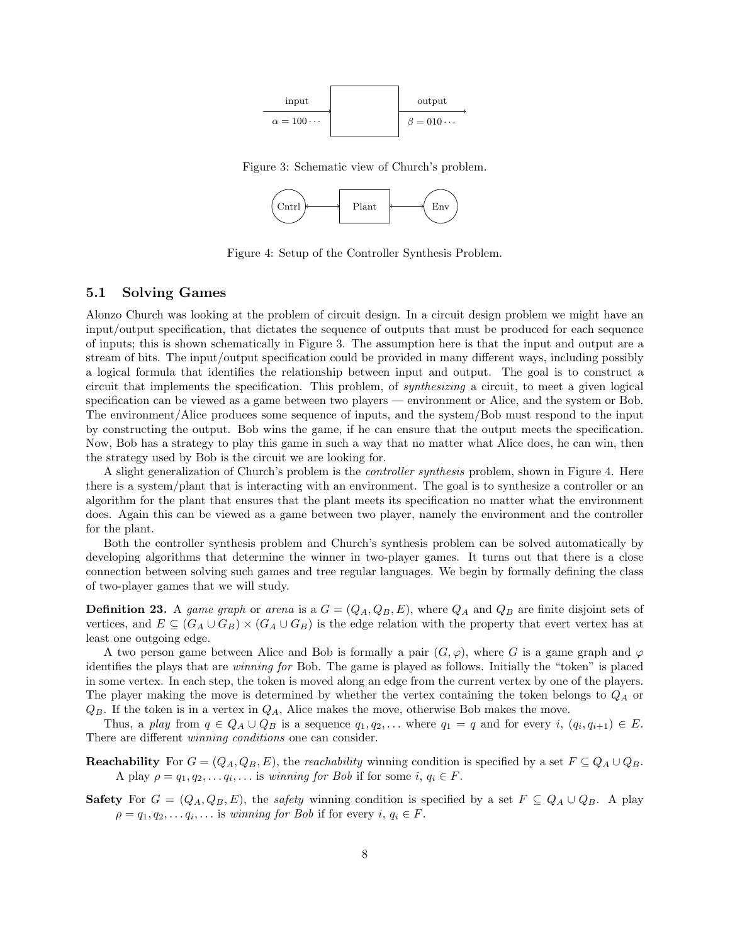

Figure 3: Schematic view of Church's problem.



Figure 4: Setup of the Controller Synthesis Problem.

#### 5.1 Solving Games

Alonzo Church was looking at the problem of circuit design. In a circuit design problem we might have an input/output specification, that dictates the sequence of outputs that must be produced for each sequence of inputs; this is shown schematically in Figure 3. The assumption here is that the input and output are a stream of bits. The input/output specification could be provided in many different ways, including possibly a logical formula that identifies the relationship between input and output. The goal is to construct a circuit that implements the specification. This problem, of synthesizing a circuit, to meet a given logical specification can be viewed as a game between two players — environment or Alice, and the system or Bob. The environment/Alice produces some sequence of inputs, and the system/Bob must respond to the input by constructing the output. Bob wins the game, if he can ensure that the output meets the specification. Now, Bob has a strategy to play this game in such a way that no matter what Alice does, he can win, then the strategy used by Bob is the circuit we are looking for.

A slight generalization of Church's problem is the controller synthesis problem, shown in Figure 4. Here there is a system/plant that is interacting with an environment. The goal is to synthesize a controller or an algorithm for the plant that ensures that the plant meets its specification no matter what the environment does. Again this can be viewed as a game between two player, namely the environment and the controller for the plant.

Both the controller synthesis problem and Church's synthesis problem can be solved automatically by developing algorithms that determine the winner in two-player games. It turns out that there is a close connection between solving such games and tree regular languages. We begin by formally defining the class of two-player games that we will study.

**Definition 23.** A game graph or arena is a  $G = (Q_A, Q_B, E)$ , where  $Q_A$  and  $Q_B$  are finite disjoint sets of vertices, and  $E \subseteq (G_A \cup G_B) \times (G_A \cup G_B)$  is the edge relation with the property that evert vertex has at least one outgoing edge.

A two person game between Alice and Bob is formally a pair  $(G, \varphi)$ , where G is a game graph and  $\varphi$ identifies the plays that are winning for Bob. The game is played as follows. Initially the "token" is placed in some vertex. In each step, the token is moved along an edge from the current vertex by one of the players. The player making the move is determined by whether the vertex containing the token belongs to  $Q_A$  or  $Q_B$ . If the token is in a vertex in  $Q_A$ , Alice makes the move, otherwise Bob makes the move.

Thus, a play from  $q \in Q_A \cup Q_B$  is a sequence  $q_1, q_2, \ldots$  where  $q_1 = q$  and for every  $i, (q_i, q_{i+1}) \in E$ . There are different winning conditions one can consider.

**Reachability** For  $G = (Q_A, Q_B, E)$ , the *reachability* winning condition is specified by a set  $F \subseteq Q_A \cup Q_B$ . A play  $\rho = q_1, q_2, \ldots q_i, \ldots$  is winning for Bob if for some  $i, q_i \in F$ .

**Safety** For  $G = (Q_A, Q_B, E)$ , the *safety* winning condition is specified by a set  $F \subseteq Q_A \cup Q_B$ . A play  $\rho = q_1, q_2, \dots q_i, \dots$  is winning for Bob if for every  $i, q_i \in F$ .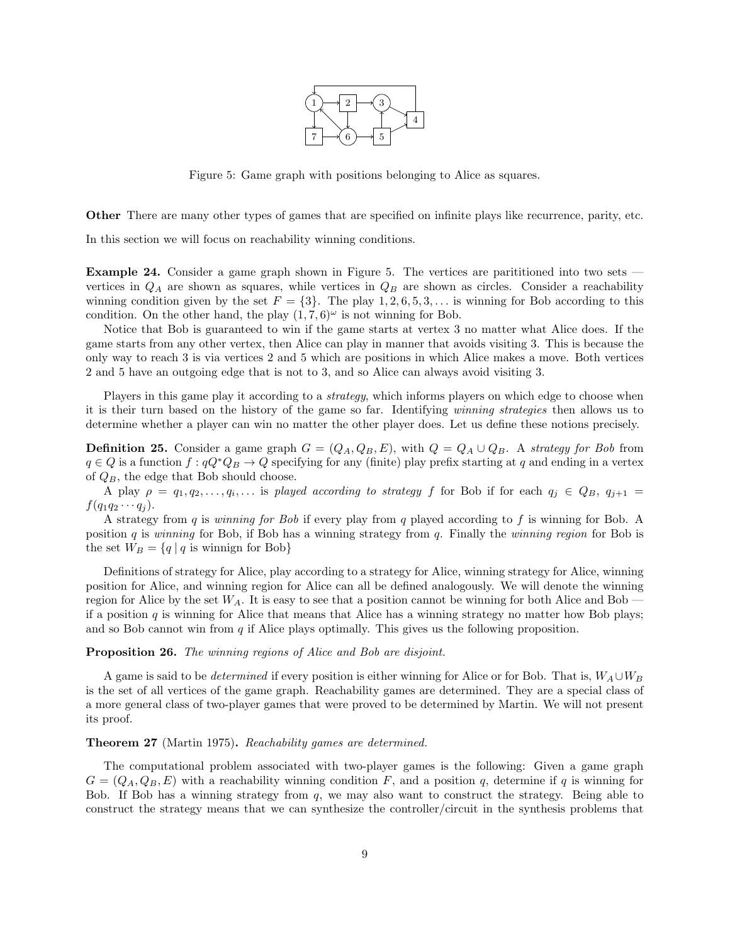

Figure 5: Game graph with positions belonging to Alice as squares.

Other There are many other types of games that are specified on infinite plays like recurrence, parity, etc.

In this section we will focus on reachability winning conditions.

Example 24. Consider a game graph shown in Figure 5. The vertices are parititioned into two sets vertices in  $Q_A$  are shown as squares, while vertices in  $Q_B$  are shown as circles. Consider a reachability winning condition given by the set  $F = \{3\}$ . The play 1, 2, 6, 5, 3, ... is winning for Bob according to this condition. On the other hand, the play  $(1, 7, 6)^\omega$  is not winning for Bob.

Notice that Bob is guaranteed to win if the game starts at vertex 3 no matter what Alice does. If the game starts from any other vertex, then Alice can play in manner that avoids visiting 3. This is because the only way to reach 3 is via vertices 2 and 5 which are positions in which Alice makes a move. Both vertices 2 and 5 have an outgoing edge that is not to 3, and so Alice can always avoid visiting 3.

Players in this game play it according to a *strategy*, which informs players on which edge to choose when it is their turn based on the history of the game so far. Identifying winning strategies then allows us to determine whether a player can win no matter the other player does. Let us define these notions precisely.

**Definition 25.** Consider a game graph  $G = (Q_A, Q_B, E)$ , with  $Q = Q_A \cup Q_B$ . A strategy for Bob from  $q \in Q$  is a function  $f : qQ^*Q_B \to Q$  specifying for any (finite) play prefix starting at q and ending in a vertex of  $Q_B$ , the edge that Bob should choose.

A play  $\rho = q_1, q_2, \ldots, q_i, \ldots$  is played according to strategy f for Bob if for each  $q_j \in Q_B$ ,  $q_{j+1} =$  $f(q_1q_2\cdots q_i)$ .

A strategy from q is winning for Bob if every play from q played according to f is winning for Bob. A position q is winning for Bob, if Bob has a winning strategy from q. Finally the winning region for Bob is the set  $W_B = \{q | q$  is winnign for Bob}

Definitions of strategy for Alice, play according to a strategy for Alice, winning strategy for Alice, winning position for Alice, and winning region for Alice can all be defined analogously. We will denote the winning region for Alice by the set  $W_A$ . It is easy to see that a position cannot be winning for both Alice and Bob if a position  $q$  is winning for Alice that means that Alice has a winning strategy no matter how Bob plays; and so Bob cannot win from  $q$  if Alice plays optimally. This gives us the following proposition.

#### Proposition 26. The winning regions of Alice and Bob are disjoint.

A game is said to be *determined* if every position is either winning for Alice or for Bob. That is,  $W_A \cup W_B$ is the set of all vertices of the game graph. Reachability games are determined. They are a special class of a more general class of two-player games that were proved to be determined by Martin. We will not present its proof.

#### Theorem 27 (Martin 1975). Reachability games are determined.

The computational problem associated with two-player games is the following: Given a game graph  $G = (Q_A, Q_B, E)$  with a reachability winning condition F, and a position q, determine if q is winning for Bob. If Bob has a winning strategy from  $q$ , we may also want to construct the strategy. Being able to construct the strategy means that we can synthesize the controller/circuit in the synthesis problems that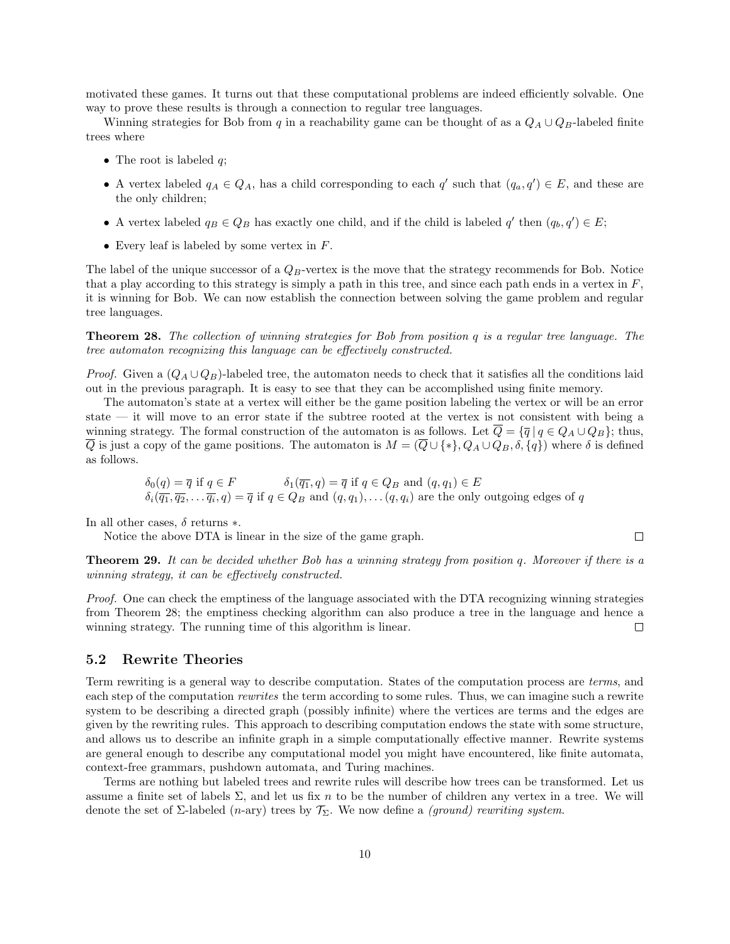motivated these games. It turns out that these computational problems are indeed efficiently solvable. One way to prove these results is through a connection to regular tree languages.

Winning strategies for Bob from q in a reachability game can be thought of as a  $Q_A \cup Q_B$ -labeled finite trees where

- The root is labeled  $q$ ;
- A vertex labeled  $q_A \in Q_A$ , has a child corresponding to each q' such that  $(q_a, q') \in E$ , and these are the only children;
- A vertex labeled  $q_B \in Q_B$  has exactly one child, and if the child is labeled  $q'$  then  $(q_b, q') \in E$ ;
- Every leaf is labeled by some vertex in  $F$ .

The label of the unique successor of a  $Q_B$ -vertex is the move that the strategy recommends for Bob. Notice that a play according to this strategy is simply a path in this tree, and since each path ends in a vertex in  $F$ . it is winning for Bob. We can now establish the connection between solving the game problem and regular tree languages.

Theorem 28. The collection of winning strategies for Bob from position q is a regular tree language. The tree automaton recognizing this language can be effectively constructed.

*Proof.* Given a  $(Q_A \cup Q_B)$ -labeled tree, the automaton needs to check that it satisfies all the conditions laid out in the previous paragraph. It is easy to see that they can be accomplished using finite memory.

The automaton's state at a vertex will either be the game position labeling the vertex or will be an error state — it will move to an error state if the subtree rooted at the vertex is not consistent with being a winning strategy. The formal construction of the automaton is as follows. Let  $\overline{Q} = {\overline{q} | q \in Q_A \cup Q_B}$ ; thus,  $\overline{Q}$  is just a copy of the game positions. The automaton is  $M = (\overline{Q} \cup \{*\}, Q_A \cup Q_B, \delta, \{q\})$  where  $\delta$  is defined as follows.

$$
\delta_0(q) = \overline{q} \text{ if } q \in F
$$
\n
$$
\delta_1(\overline{q_1}, q) = \overline{q} \text{ if } q \in Q_B \text{ and } (q, q_1) \in E
$$
\n
$$
\delta_i(\overline{q_1}, \overline{q_2}, \dots, \overline{q_i}, q) = \overline{q} \text{ if } q \in Q_B \text{ and } (q, q_1), \dots, (q, q_i) \text{ are the only outgoing edges of } q
$$

In all other cases,  $\delta$  returns  $*$ .

Notice the above DTA is linear in the size of the game graph.

**Theorem 29.** It can be decided whether Bob has a winning strategy from position q. Moreover if there is a winning strategy, it can be effectively constructed.

 $\Box$ 

Proof. One can check the emptiness of the language associated with the DTA recognizing winning strategies from Theorem 28; the emptiness checking algorithm can also produce a tree in the language and hence a winning strategy. The running time of this algorithm is linear.  $\Box$ 

#### 5.2 Rewrite Theories

Term rewriting is a general way to describe computation. States of the computation process are terms, and each step of the computation rewrites the term according to some rules. Thus, we can imagine such a rewrite system to be describing a directed graph (possibly infinite) where the vertices are terms and the edges are given by the rewriting rules. This approach to describing computation endows the state with some structure, and allows us to describe an infinite graph in a simple computationally effective manner. Rewrite systems are general enough to describe any computational model you might have encountered, like finite automata, context-free grammars, pushdown automata, and Turing machines.

Terms are nothing but labeled trees and rewrite rules will describe how trees can be transformed. Let us assume a finite set of labels  $\Sigma$ , and let us fix n to be the number of children any vertex in a tree. We will denote the set of  $\Sigma$ -labeled (n-ary) trees by  $\mathcal{T}_{\Sigma}$ . We now define a *(ground) rewriting system.*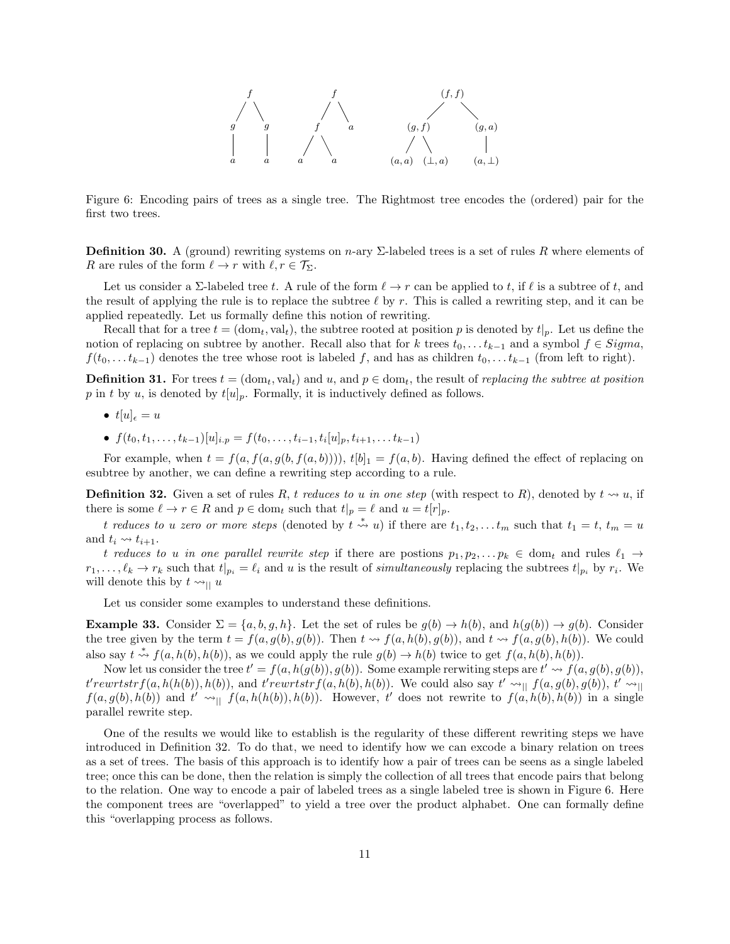

Figure 6: Encoding pairs of trees as a single tree. The Rightmost tree encodes the (ordered) pair for the first two trees.

**Definition 30.** A (ground) rewriting systems on n-ary  $\Sigma$ -labeled trees is a set of rules R where elements of R are rules of the form  $\ell \to r$  with  $\ell, r \in \mathcal{T}_{\Sigma}$ .

Let us consider a  $\Sigma$ -labeled tree t. A rule of the form  $\ell \to r$  can be applied to t, if  $\ell$  is a subtree of t, and the result of applying the rule is to replace the subtree  $\ell$  by r. This is called a rewriting step, and it can be applied repeatedly. Let us formally define this notion of rewriting.

Recall that for a tree  $t = (dom_t, val_t)$ , the subtree rooted at position p is denoted by  $t|_p$ . Let us define the notion of replacing on subtree by another. Recall also that for k trees  $t_0, \ldots t_{k-1}$  and a symbol  $f \in Sigma$ ,  $f(t_0, \ldots t_{k-1})$  denotes the tree whose root is labeled f, and has as children  $t_0, \ldots t_{k-1}$  (from left to right).

**Definition 31.** For trees  $t = (dom_t, val_t)$  and  $u$ , and  $p \in dom_t$ , the result of *replacing the subtree at position* p in t by u, is denoted by  $t[u]_p$ . Formally, it is inductively defined as follows.

- $t[u]_e = u$
- $f(t_0, t_1, \ldots, t_{k-1})[u]_{i,p} = f(t_0, \ldots, t_{i-1}, t_i[u]_p, t_{i+1}, \ldots, t_{k-1})$

For example, when  $t = f(a, f(a, g(b, f(a, b))))$ ,  $t[b]_1 = f(a, b)$ . Having defined the effect of replacing on esubtree by another, we can define a rewriting step according to a rule.

**Definition 32.** Given a set of rules R, t reduces to u in one step (with respect to R), denoted by  $t \rightsquigarrow u$ , if there is some  $\ell \to r \in R$  and  $p \in \text{dom}_t$  such that  $t|_p = \ell$  and  $u = t[r]_p$ .

t reduces to u zero or more steps (denoted by  $t \stackrel{*}{\leadsto} u$ ) if there are  $t_1, t_2, \ldots t_m$  such that  $t_1 = t, t_m = u$ and  $t_i \rightsquigarrow t_{i+1}$ .

t reduces to u in one parallel rewrite step if there are postions  $p_1, p_2, \ldots, p_k \in \text{dom}_t$  and rules  $\ell_1 \to$  $r_1, \ldots, \ell_k \to r_k$  such that  $t|_{p_i} = \ell_i$  and u is the result of simultaneously replacing the subtrees  $t|_{p_i}$  by  $r_i$ . We will denote this by  $t \rightarrow \parallel u$ 

Let us consider some examples to understand these definitions.

**Example 33.** Consider  $\Sigma = \{a, b, g, h\}$ . Let the set of rules be  $g(b) \to h(b)$ , and  $h(g(b)) \to g(b)$ . Consider the tree given by the term  $t = f(a, g(b), g(b))$ . Then  $t \leadsto f(a, h(b), g(b))$ , and  $t \leadsto f(a, g(b), h(b))$ . We could also say  $t \stackrel{*}{\leadsto} f(a, h(b), h(b))$ , as we could apply the rule  $g(b) \rightarrow h(b)$  twice to get  $f(a, h(b), h(b))$ .

Now let us consider the tree  $t' = f(a, h(g(b)), g(b))$ . Some example rerwiting steps are  $t' \leadsto f(a, g(b), g(b))$ ,  $t'rewrtstrf(a, h(h(b)), h(b))$ , and  $t'rewrtstrf(a, h(b), h(b))$ . We could also say  $t' \leadsto_{||} f(a, g(b), g(b)), t' \leadsto_{||}$  $f(a, g(b), h(b))$  and  $t' \sim_{\text{min}} f(a, h(h(b)), h(b))$ . However, t' does not rewrite to  $f(a, h(b), h(b))$  in a single parallel rewrite step.

One of the results we would like to establish is the regularity of these different rewriting steps we have introduced in Definition 32. To do that, we need to identify how we can excode a binary relation on trees as a set of trees. The basis of this approach is to identify how a pair of trees can be seens as a single labeled tree; once this can be done, then the relation is simply the collection of all trees that encode pairs that belong to the relation. One way to encode a pair of labeled trees as a single labeled tree is shown in Figure 6. Here the component trees are "overlapped" to yield a tree over the product alphabet. One can formally define this "overlapping process as follows.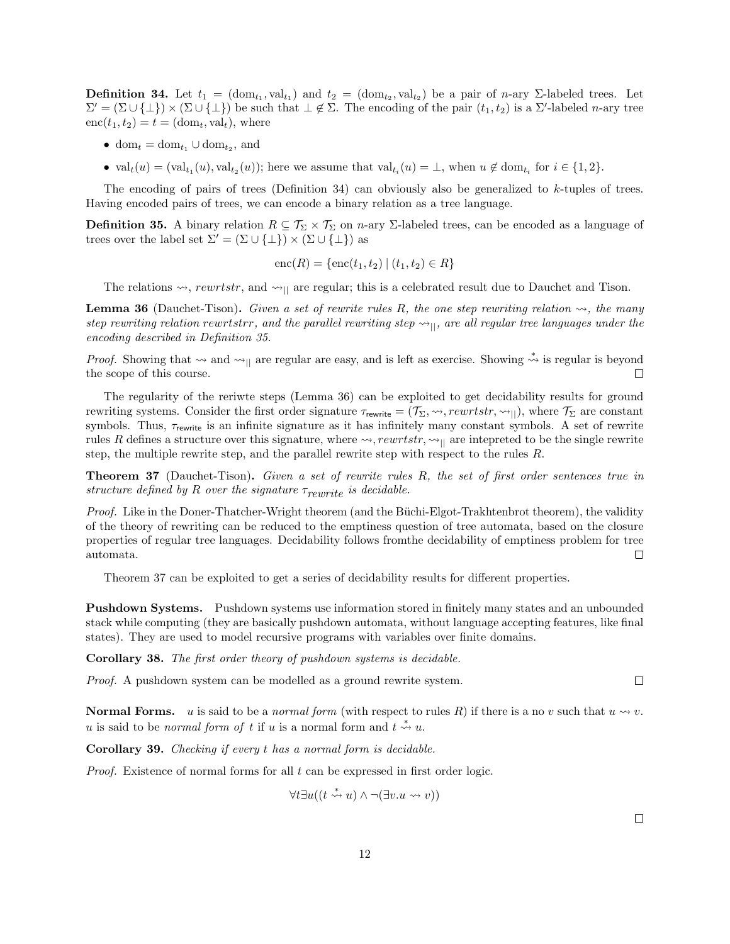**Definition 34.** Let  $t_1 = (\text{dom}_{t_1}, \text{val}_{t_1})$  and  $t_2 = (\text{dom}_{t_2}, \text{val}_{t_2})$  be a pair of *n*-ary  $\Sigma$ -labeled trees. Let  $\Sigma' = (\Sigma \cup \{\bot\}) \times (\Sigma \cup \{\bot\})$  be such that  $\bot \notin \Sigma$ . The encoding of the pair  $(t_1, t_2)$  is a  $\Sigma'$ -labeled *n*-ary tree  $enc(t_1, t_2) = t = (dom_t, val_t)$ , where

- $dom_t = dom_{t_1} \cup dom_{t_2}$ , and
- $val_t(u) = (val_{t_1}(u), val_{t_2}(u));$  here we assume that  $val_{t_i}(u) = \bot$ , when  $u \notin dom_{t_i}$  for  $i \in \{1, 2\}$ .

The encoding of pairs of trees (Definition 34) can obviously also be generalized to k-tuples of trees. Having encoded pairs of trees, we can encode a binary relation as a tree language.

**Definition 35.** A binary relation  $R \subseteq \mathcal{T}_{\Sigma} \times \mathcal{T}_{\Sigma}$  on *n*-ary  $\Sigma$ -labeled trees, can be encoded as a language of trees over the label set  $\Sigma' = (\Sigma \cup {\{\perp\}}) \times (\Sigma \cup {\{\perp\}})$  as

$$
enc(R) = \{enc(t_1, t_2) | (t_1, t_2) \in R\}
$$

The relations  $\leadsto$ , rewrtstr, and  $\leadsto$ <sub>||</sub> are regular; this is a celebrated result due to Dauchet and Tison.

**Lemma 36** (Dauchet-Tison). Given a set of rewrite rules R, the one step rewriting relation  $\rightsquigarrow$ , the many step rewriting relation rewrtstrr, and the parallel rewriting step  $\leadsto_{||}$ , are all regular tree languages under the encoding described in Definition 35.

*Proof.* Showing that  $\sim$  and  $\sim$ <sub>||</sub> are regular are easy, and is left as exercise. Showing  $\stackrel{*}{\rightsquigarrow}$  is regular is beyond the scope of this course.  $\Box$ 

The regularity of the reriwte steps (Lemma 36) can be exploited to get decidability results for ground rewriting systems. Consider the first order signature  $\tau_{\text{rewrite}} = (\mathcal{T}_{\Sigma}, \leadsto, \text{rewrtstr}, \leadsto_{||})$ , where  $\mathcal{T}_{\Sigma}$  are constant symbols. Thus,  $\tau_{\text{rewrite}}$  is an infinite signature as it has infinitely many constant symbols. A set of rewrite rules R defines a structure over this signature, where  $\leadsto$ , rewrtstr,  $\leadsto$ <sub>Il</sub> are intepreted to be the single rewrite step, the multiple rewrite step, and the parallel rewrite step with respect to the rules R.

Theorem 37 (Dauchet-Tison). Given a set of rewrite rules R, the set of first order sentences true in structure defined by R over the signature  $\tau_{rewrite}$  is decidable.

Proof. Like in the Doner-Thatcher-Wright theorem (and the Büchi-Elgot-Trakhtenbrot theorem), the validity of the theory of rewriting can be reduced to the emptiness question of tree automata, based on the closure properties of regular tree languages. Decidability follows fromthe decidability of emptiness problem for tree automata.  $\Box$ 

Theorem 37 can be exploited to get a series of decidability results for different properties.

Pushdown Systems. Pushdown systems use information stored in finitely many states and an unbounded stack while computing (they are basically pushdown automata, without language accepting features, like final states). They are used to model recursive programs with variables over finite domains.

Corollary 38. The first order theory of pushdown systems is decidable.

Proof. A pushdown system can be modelled as a ground rewrite system.

**Normal Forms.** u is said to be a normal form (with respect to rules R) if there is a no v such that  $u \rightsquigarrow v$ . u is said to be *normal form of t* if u is a normal form and  $t \stackrel{*}{\leadsto} u$ .

Corollary 39. Checking if every t has a normal form is decidable.

*Proof.* Existence of normal forms for all  $t$  can be expressed in first order logic.

$$
\forall t \exists u ((t \stackrel{*}{\leadsto} u) \land \neg (\exists v. u \leadsto v))
$$

 $\Box$ 

 $\Box$